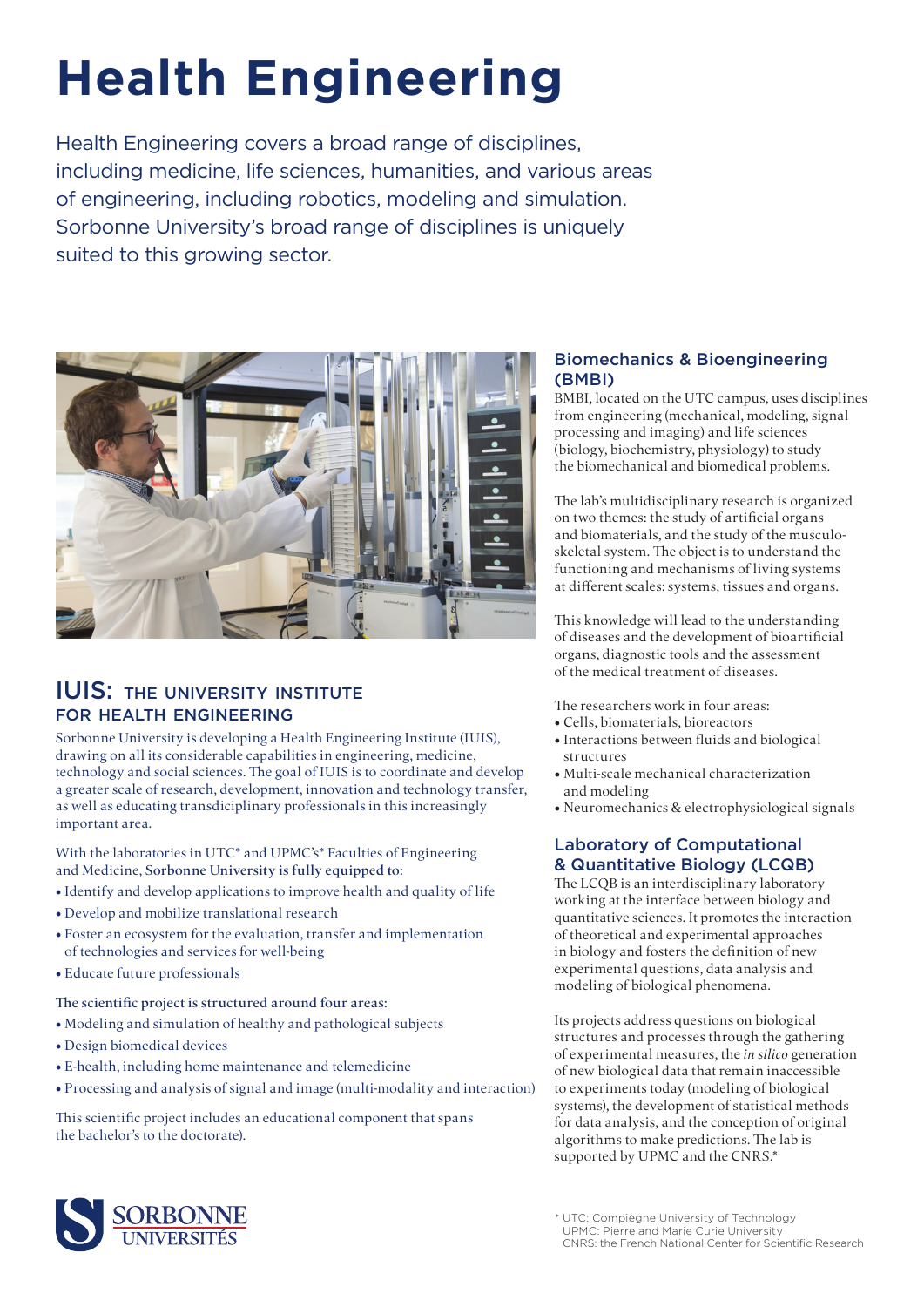# **Health Engineering**

Health Engineering covers a broad range of disciplines, including medicine, life sciences, humanities, and various areas of engineering, including robotics, modeling and simulation. Sorbonne University's broad range of disciplines is uniquely suited to this growing sector.



## IUIS: the university institute for health engineering

Sorbonne University is developing a Health Engineering Institute (IUIS), drawing on all its considerable capabilities in engineering, medicine, technology and social sciences. The goal of IUIS is to coordinate and develop a greater scale of research, development, innovation and technology transfer, as well as educating transdiciplinary professionals in this increasingly important area.

With the laboratories in UTC\* and UPMC's\* Faculties of Engineering and Medicine, Sorbonne University is fully equipped to:

- Identify and develop applications to improve health and quality of life
- Develop and mobilize translational research
- Foster an ecosystem for the evaluation, transfer and implementation of technologies and services for well-being
- Educate future professionals

The scientific project is structured around four areas:

- Modeling and simulation of healthy and pathological subjects
- Design biomedical devices
- E-health, including home maintenance and telemedicine
- Processing and analysis of signal and image (multi-modality and interaction)

This scientific project includes an educational component that spans the bachelor's to the doctorate).

## Biomechanics & Bioengineering (BMBI)

BMBI, located on the UTC campus, uses disciplines from engineering (mechanical, modeling, signal processing and imaging) and life sciences (biology, biochemistry, physiology) to study the biomechanical and biomedical problems.

The lab's multidisciplinary research is organized on two themes: the study of artificial organs and biomaterials, and the study of the musculoskeletal system. The object is to understand the functioning and mechanisms of living systems at different scales: systems, tissues and organs.

This knowledge will lead to the understanding of diseases and the development of bioartificial organs, diagnostic tools and the assessment of the medical treatment of diseases.

The researchers work in four areas:

- Cells, biomaterials, bioreactors
- Interactions between fluids and biological structures
- Multi-scale mechanical characterization and modeling
- Neuromechanics & electrophysiological signals

### Laboratory of Computational & Quantitative Biology (LCQB)

The LCQB is an interdisciplinary laboratory working at the interface between biology and quantitative sciences. It promotes the interaction of theoretical and experimental approaches in biology and fosters the definition of new experimental questions, data analysis and modeling of biological phenomena.

Its projects address questions on biological structures and processes through the gathering of experimental measures, the *in silico* generation of new biological data that remain inaccessible to experiments today (modeling of biological systems), the development of statistical methods for data analysis, and the conception of original algorithms to make predictions. The lab is supported by UPMC and the CNRS.\*



<sup>\*</sup> UTC: Compiègne University of Technology UPMC: Pierre and Marie Curie University CNRS: the French National Center for Scientific Research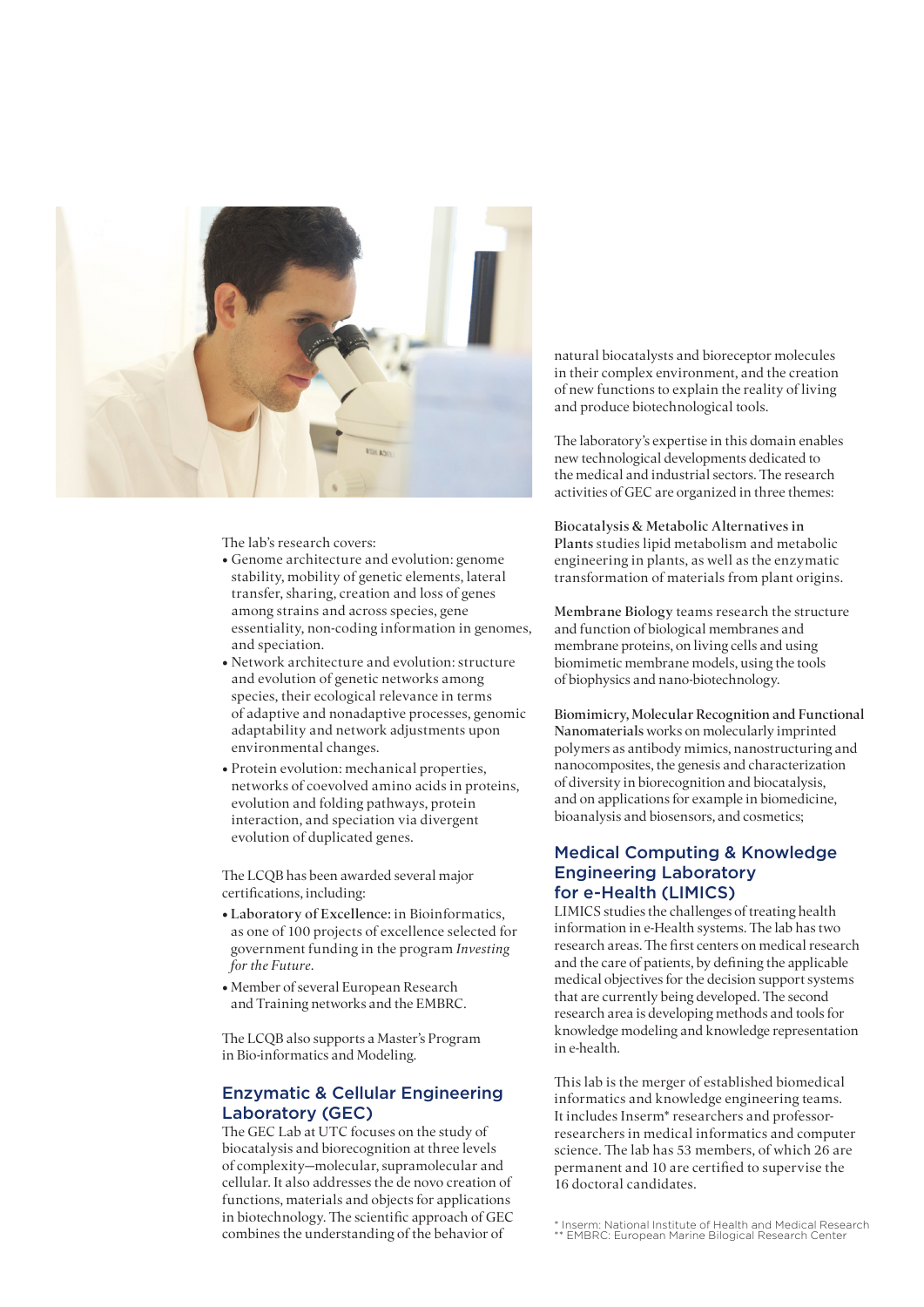

The lab's research covers:

- Genome architecture and evolution: genome stability, mobility of genetic elements, lateral transfer, sharing, creation and loss of genes among strains and across species, gene essentiality, non-coding information in genomes, and speciation.
- Network architecture and evolution: structure and evolution of genetic networks among species, their ecological relevance in terms of adaptive and nonadaptive processes, genomic adaptability and network adjustments upon environmental changes.
- Protein evolution: mechanical properties, networks of coevolved amino acids in proteins, evolution and folding pathways, protein interaction, and speciation via divergent evolution of duplicated genes.

The LCQB has been awarded several major certifications, including:

- Laboratory of Excellence: in Bioinformatics, as one of 100 projects of excellence selected for government funding in the program *Investing for the Future*.
- Member of several European Research and Training networks and the EMBRC.

The LCQB also supports a Master's Program in Bio-informatics and Modeling.

#### Enzymatic & Cellular Engineering Laboratory (GEC)

The GEC Lab at UTC focuses on the study of biocatalysis and biorecognition at three levels of complexity—molecular, supramolecular and cellular. It also addresses the de novo creation of functions, materials and objects for applications in biotechnology. The scientific approach of GEC combines the understanding of the behavior of

natural biocatalysts and bioreceptor molecules in their complex environment, and the creation of new functions to explain the reality of living and produce biotechnological tools.

The laboratory's expertise in this domain enables new technological developments dedicated to the medical and industrial sectors. The research activities of GEC are organized in three themes:

Biocatalysis & Metabolic Alternatives in Plants studies lipid metabolism and metabolic engineering in plants, as well as the enzymatic transformation of materials from plant origins.

Membrane Biology teams research the structure and function of biological membranes and membrane proteins, on living cells and using biomimetic membrane models, using the tools of biophysics and nano-biotechnology.

Biomimicry, Molecular Recognition and Functional Nanomaterials works on molecularly imprinted polymers as antibody mimics, nanostructuring and nanocomposites, the genesis and characterization of diversity in biorecognition and biocatalysis, and on applications for example in biomedicine, bioanalysis and biosensors, and cosmetics;

#### Medical Computing & Knowledge Engineering Laboratory for e-Health (LIMICS)

LIMICS studies the challenges of treating health information in e-Health systems. The lab has two research areas. The first centers on medical research and the care of patients, by defining the applicable medical objectives for the decision support systems that are currently being developed. The second research area is developing methods and tools for knowledge modeling and knowledge representation in e-health.

This lab is the merger of established biomedical informatics and knowledge engineering teams. It includes Inserm\* researchers and professorresearchers in medical informatics and computer science. The lab has 53 members, of which 26 are permanent and 10 are certified to supervise the 16 doctoral candidates.

<sup>\*</sup> Inserm: National Institute of Health and Medical Research \*\* EMBRC: European Marine Bilogical Research Center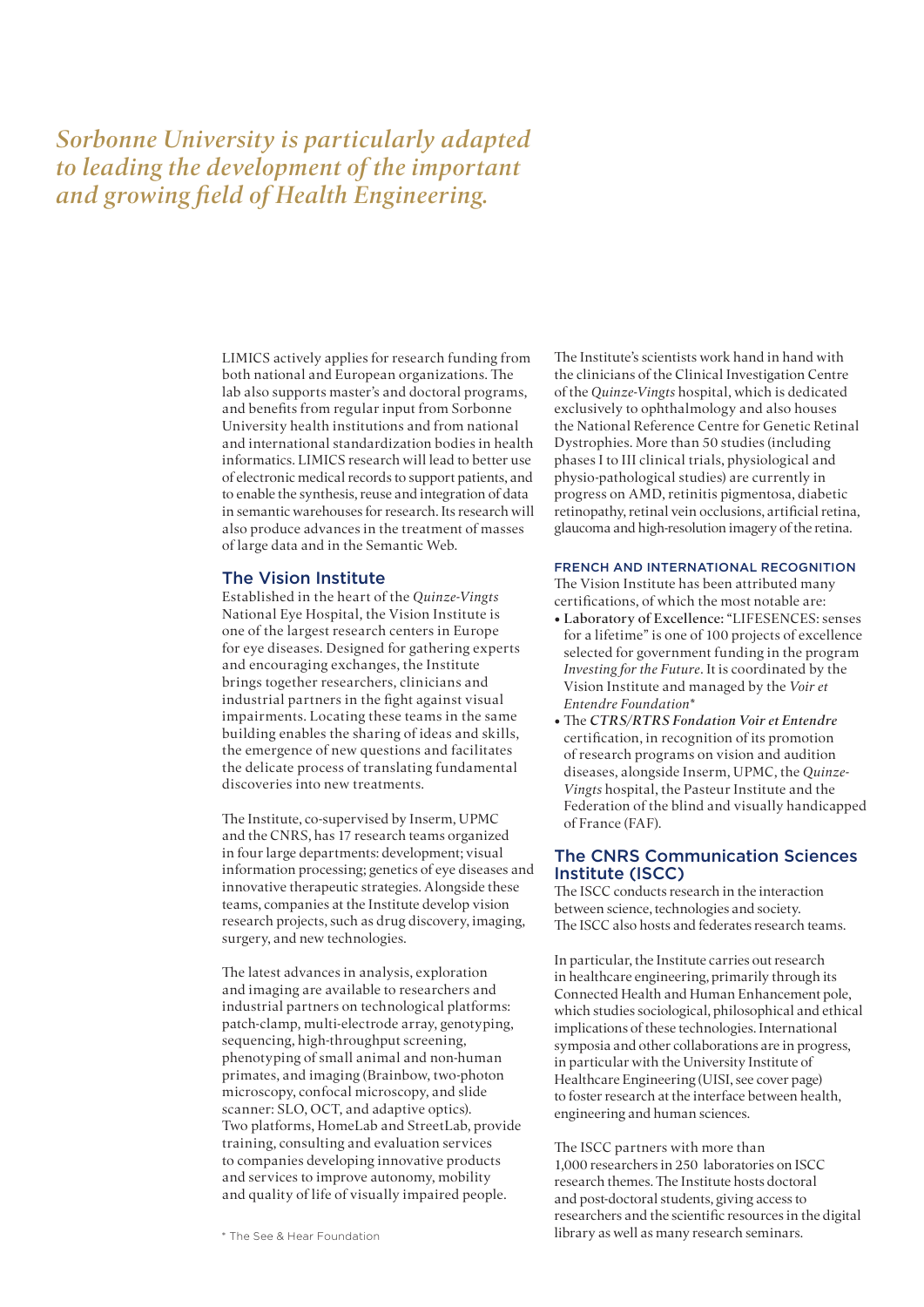# *Sorbonne University is particularly adapted to leading the development of the important and growing field of Health Engineering.*

LIMICS actively applies for research funding from both national and European organizations. The lab also supports master's and doctoral programs, and benefits from regular input from Sorbonne University health institutions and from national and international standardization bodies in health informatics. LIMICS research will lead to better use of electronic medical records to support patients, and to enable the synthesis, reuse and integration of data in semantic warehouses for research. Its research will also produce advances in the treatment of masses of large data and in the Semantic Web.

#### The Vision Institute

Established in the heart of the *Quinze-Vingts* National Eye Hospital, the Vision Institute is one of the largest research centers in Europe for eye diseases. Designed for gathering experts and encouraging exchanges, the Institute brings together researchers, clinicians and industrial partners in the fight against visual impairments. Locating these teams in the same building enables the sharing of ideas and skills, the emergence of new questions and facilitates the delicate process of translating fundamental discoveries into new treatments.

The Institute, co-supervised by Inserm, UPMC and the CNRS, has 17 research teams organized in four large departments: development; visual information processing; genetics of eye diseases and innovative therapeutic strategies. Alongside these teams, companies at the Institute develop vision research projects, such as drug discovery, imaging, surgery, and new technologies.

The latest advances in analysis, exploration and imaging are available to researchers and industrial partners on technological platforms: patch-clamp, multi-electrode array, genotyping, sequencing, high-throughput screening, phenotyping of small animal and non-human primates, and imaging (Brainbow, two-photon microscopy, confocal microscopy, and slide scanner: SLO, OCT, and adaptive optics). Two platforms, HomeLab and StreetLab, provide training, consulting and evaluation services to companies developing innovative products and services to improve autonomy, mobility and quality of life of visually impaired people.

The Institute's scientists work hand in hand with the clinicians of the Clinical Investigation Centre of the *Quinze-Vingts* hospital, which is dedicated exclusively to ophthalmology and also houses the National Reference Centre for Genetic Retinal Dystrophies. More than 50 studies (including phases I to III clinical trials, physiological and physio-pathological studies) are currently in progress on AMD, retinitis pigmentosa, diabetic retinopathy, retinal vein occlusions, artificial retina, glaucoma and high-resolution imagery of the retina.

#### FRENCH AND INTERNATIONAL RECOGNITION

The Vision Institute has been attributed many certifications, of which the most notable are:

- Laboratory of Excellence: "LIFESENCES: senses for a lifetime" is one of 100 projects of excellence selected for government funding in the program *Investing for the Future*. It is coordinated by the Vision Institute and managed by the *Voir et Entendre Foundation\**
- The *CTRS/RTRS Fondation Voir et Entendre* certification, in recognition of its promotion of research programs on vision and audition diseases, alongside Inserm, UPMC, the *Quinze-Vingts* hospital, the Pasteur Institute and the Federation of the blind and visually handicapped of France (FAF).

#### The CNRS Communication Sciences Institute (ISCC)

The ISCC conducts research in the interaction between science, technologies and society. The ISCC also hosts and federates research teams.

In particular, the Institute carries out research in healthcare engineering, primarily through its Connected Health and Human Enhancement pole, which studies sociological, philosophical and ethical implications of these technologies. International symposia and other collaborations are in progress, in particular with the University Institute of Healthcare Engineering (UISI, see cover page) to foster research at the interface between health, engineering and human sciences.

The ISCC partners with more than 1,000 researchers in 250 laboratories on ISCC research themes. The Institute hosts doctoral and post-doctoral students, giving access to researchers and the scientific resources in the digital \* The See & Hear Foundation library as well as many research seminars.